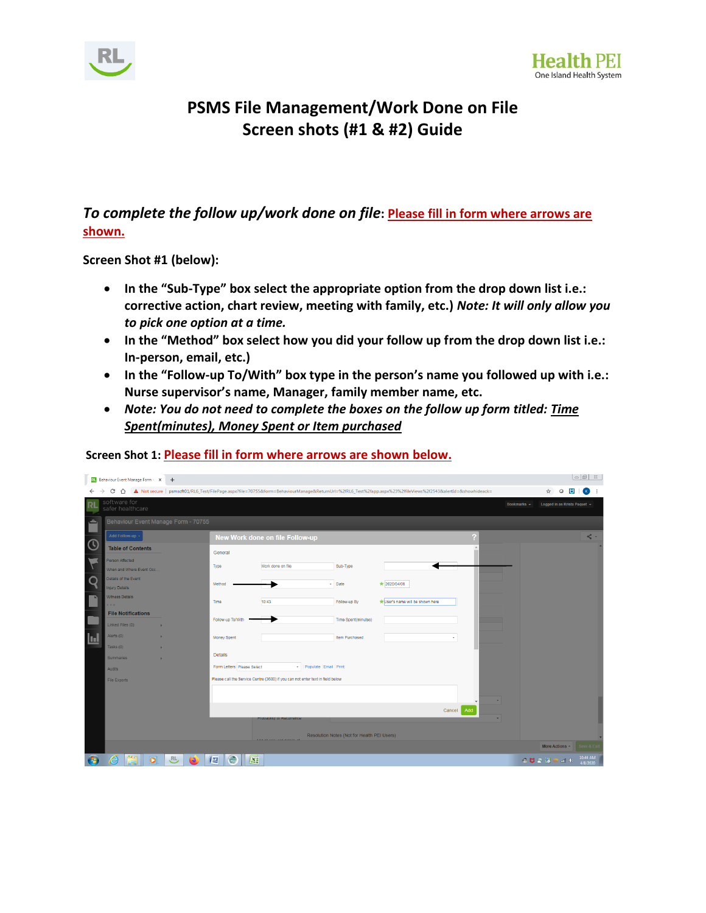



## **PSMS File Management/Work Done on File Screen shots (#1 & #2) Guide**

## *To complete the follow up/work done on file***: Please fill in form where arrows are shown.**

**Screen Shot #1 (below):**

- **In the "Sub-Type" box select the appropriate option from the drop down list i.e.: corrective action, chart review, meeting with family, etc.)** *Note: It will only allow you to pick one option at a time.*
- **In the "Method" box select how you did your follow up from the drop down list i.e.: In-person, email, etc.)**
- **In the "Follow-up To/With" box type in the person's name you followed up with i.e.: Nurse supervisor's name, Manager, family member name, etc.**
- *Note: You do not need to complete the boxes on the follow up form titled: Time Spent(minutes), Money Spent or Item purchased*

|             |                                                                                                | RI Behaviour Event Manage Form - X | $+$ |                             |                                 |                     |                                                                                                                                                              |  |             |                              |   |   | $ -\vert$ $\oplus$ $\vert$ $\otimes$ |
|-------------|------------------------------------------------------------------------------------------------|------------------------------------|-----|-----------------------------|---------------------------------|---------------------|--------------------------------------------------------------------------------------------------------------------------------------------------------------|--|-------------|------------------------------|---|---|--------------------------------------|
| ←           | C<br>$\triangle$                                                                               |                                    |     |                             |                                 |                     | A Not secure   psmscft01/RL6_Test/FilePage.aspx?file=70755&form=BehaviourManage&ReturnUrl=%2fRL6_Test%2fapp.aspx%23%2ffileViews%2f2543&alertId=&showhideack= |  |             | ☆                            | O | Ø | $\mathbf{K}$                         |
| RL          | software for<br>safer healthcare                                                               |                                    |     |                             |                                 |                     |                                                                                                                                                              |  | Bookmarks v | Logged in as Krista Paquet v |   |   |                                      |
| ے.          | Behaviour Event Manage Form - 70755                                                            |                                    |     |                             |                                 |                     |                                                                                                                                                              |  |             |                              |   |   |                                      |
|             | Add Follow-up +                                                                                |                                    |     |                             | New Work done on file Follow-up |                     |                                                                                                                                                              |  |             |                              |   |   | $\prec$ $\sim$                       |
| $\mathbf C$ |                                                                                                | <b>Table of Contents</b>           |     | General                     |                                 |                     |                                                                                                                                                              |  |             |                              |   |   |                                      |
|             | Person Affected                                                                                | When and Where Event Occ           |     | Type                        | Work done on file               | Sub-Type            |                                                                                                                                                              |  |             |                              |   |   |                                      |
| $\cap$      | Details of the Event<br>Injury Details                                                         |                                    |     | Method                      |                                 | - Date              | $\star$ 2020/04/08                                                                                                                                           |  |             |                              |   |   |                                      |
|             | Witness Details<br>$\sim$                                                                      |                                    |     | Time                        | 10:43                           | Follow-up By        | *User's name will be shown here                                                                                                                              |  |             |                              |   |   |                                      |
|             |                                                                                                | <b>File Notifications</b>          |     | Follow-up To/With           |                                 | Time Spent(minutes) |                                                                                                                                                              |  |             |                              |   |   |                                      |
|             | Linked Files (0)                                                                               |                                    |     |                             |                                 |                     |                                                                                                                                                              |  |             |                              |   |   |                                      |
| 圓           | Alerts (0)<br>Tasks (0)                                                                        |                                    |     | Money Spent                 |                                 | Item Purchased      |                                                                                                                                                              |  |             |                              |   |   |                                      |
|             | Summaries                                                                                      |                                    | ×   | <b>Details</b>              |                                 |                     |                                                                                                                                                              |  |             |                              |   |   |                                      |
|             | <b>Audits</b>                                                                                  |                                    |     | Form Letters: Please Select | - Populate Email Print          |                     |                                                                                                                                                              |  |             |                              |   |   |                                      |
|             | Please call the Service Centre (3600) if you can not enter text in field below<br>File Exports |                                    |     |                             |                                 |                     |                                                                                                                                                              |  |             |                              |   |   |                                      |
|             |                                                                                                |                                    |     |                             |                                 |                     |                                                                                                                                                              |  |             |                              |   |   |                                      |
|             | Add<br>Cancel                                                                                  |                                    |     |                             |                                 |                     |                                                                                                                                                              |  |             |                              |   |   |                                      |
|             | <b>TIODADIIIW OI RECUITEII</b>                                                                 |                                    |     |                             |                                 |                     |                                                                                                                                                              |  |             |                              |   |   |                                      |
|             | Resolution Notes (Not for Health PEI Users)                                                    |                                    |     |                             |                                 |                     |                                                                                                                                                              |  |             |                              |   |   |                                      |
|             |                                                                                                |                                    |     |                             |                                 |                     |                                                                                                                                                              |  |             | More Actions -               |   |   | Save & Ex                            |
|             | ê                                                                                              | $\bullet$                          | RL, | G<br><b>IER</b><br>Œ        |                                 |                     |                                                                                                                                                              |  |             | 冷日の後に回り                      |   |   | 10:44 AM<br>4/8/2020                 |

**Screen Shot 1: Please fill in form where arrows are shown below.**